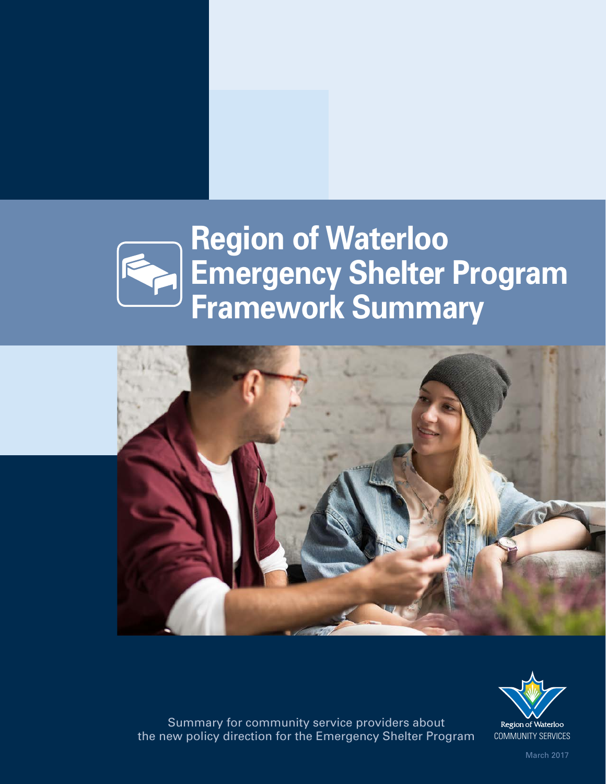# **Region of Waterloo Emergency Shelter Program Framework Summary**





Summary for community service providers about the new policy direction for the Emergency Shelter Program COMMUNITY SERVICES

March 2017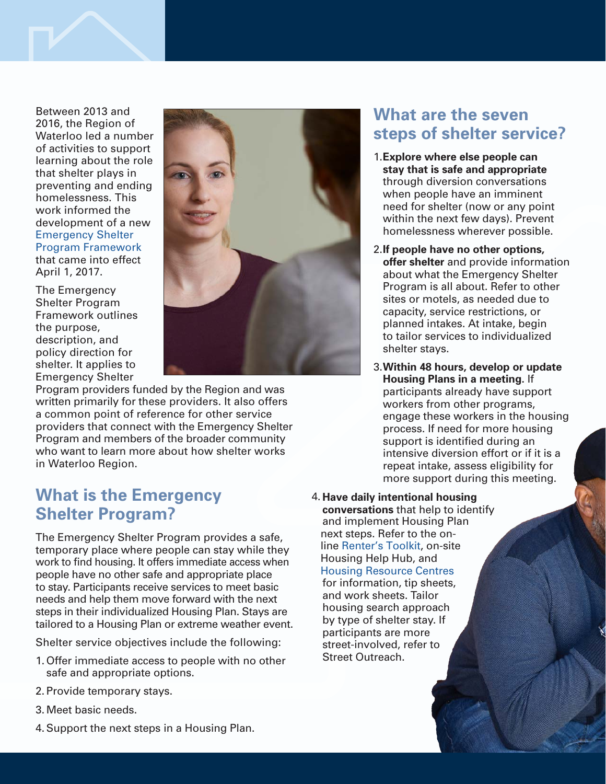

Between 2013 and 2016, the Region of Waterloo led a number of activities to support learning about the role that shelter plays in preventing and ending homelessness. This work informed the development of a new Emergency Shelter [Program Framework](https://www.regionofwaterloo.ca/en/living-here/resources/Documents/Housing/Region-of-Waterloo-Emergency-Shelter-Program-Framework-March-2017-access.pdf) that came into effect April 1, 2017.

The Emergency Shelter Program Framework outlines the purpose, description, and policy direction for shelter. It applies to Emergency Shelter



Program providers funded by the Region and was written primarily for these providers. It also offers a common point of reference for other service providers that connect with the Emergency Shelter Program and members of the broader community who want to learn more about how shelter works in Waterloo Region.

#### **What is the Emergency Shelter Program?**

The Emergency Shelter Program provides a safe, temporary place where people can stay while they work to find housing. It offers immediate access when people have no other safe and appropriate place to stay. Participants receive services to meet basic needs and help them move forward with the next steps in their individualized Housing Plan. Stays are tailored to a Housing Plan or extreme weather event.

Shelter service objectives include the following:

- 1. Offer immediate access to people with no other safe and appropriate options.
- 2. Provide temporary stays.
- 3. Meet basic needs.
- 4.Support the next steps in a Housing Plan.

### **What are the seven steps of shelter service?**

- 1.**Explore where else people can stay that is safe and appropriate** through diversion conversations when people have an imminent need for shelter (now or any point within the next few days). Prevent homelessness wherever possible.
- 2.**If people have no other options, offer shelter** and provide information about what the Emergency Shelter Program is all about. Refer to other sites or motels, as needed due to capacity, service restrictions, or planned intakes. At intake, begin to tailor services to individualized shelter stays.
- 3.**Within 48 hours, develop or update Housing Plans in a meeting.** If participants already have support workers from other programs, engage these workers in the housing process. If need for more housing support is identified during an intensive diversion effort or if it is a repeat intake, assess eligibility for more support during this meeting.
- 4. **Have daily intentional housing conversations** that help to identify and implement Housing Plan next steps. Refer to the online [Renter's Toolkit,](http://communityservices.regionofwaterloo.ca/en/housing/renters-toolkit-finding-and-keeping-a-home.asp) on-site Housing Help Hub, and [Housing Resource Centres](https://www.lutherwood.ca/housing/) for information, tip sheets, and work sheets. Tailor housing search approach by type of shelter stay. If participants are more street-involved, refer to Street Outreach.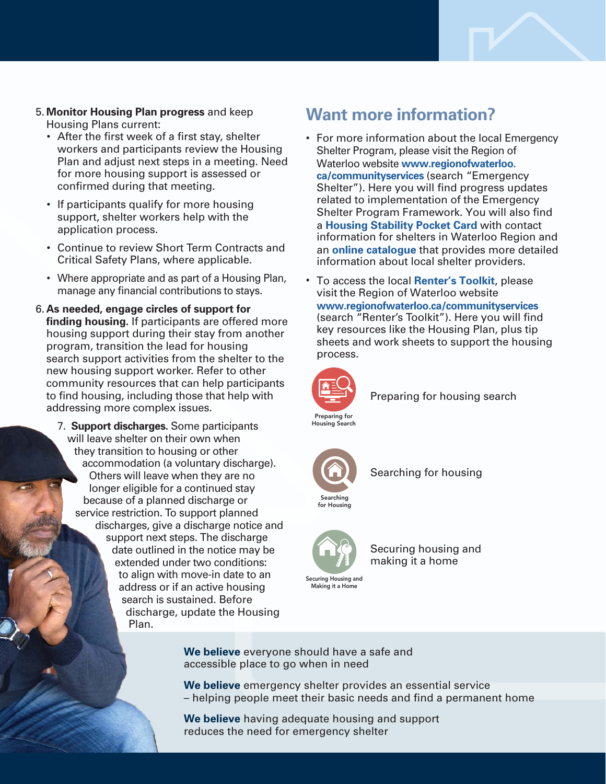

- After the first week of a first stay, shelter workers and participants review the Housing Plan and adjust next steps in a meeting. Need for more housing support is assessed or confirmed during that meeting.
- If participants qualify for more housing support, shelter workers help with the application process.
- Continue to review Short Term Contracts and Critical Safety Plans, where applicable.
- Where appropriate and as part of a Housing Plan, manage any financial contributions to stays.
- 6. **As needed, engage circles of support for finding housing.** If participants are offered more housing support during their stay from another program, transition the lead for housing search support activities from the shelter to the new housing support worker. Refer to other community resources that can help participants to find housing, including those that help with addressing more complex issues.
	- 7. **Support discharges.** Some participants will leave shelter on their own when they transition to housing or other accommodation (a voluntary discharge). Others will leave when they are no longer eligible for a continued stay because of a planned discharge or service restriction. To support planned discharges, give a discharge notice and support next steps. The discharge date outlined in the notice may be extended under two conditions: to align with move-in date to an address or if an active housing search is sustained. Before discharge, update the Housing Plan.

## **Want more information?**

- For more information about the local Emergency Shelter Program, please visit the Region of Waterloo website **[www.regionofwaterloo.](http://www.regionofwaterloo.ca/communityservices) [ca/communityservices](http://www.regionofwaterloo.ca/communityservices)** (search "Emergency Shelter"). Here you will find progress updates related to implementation of the Emergency Shelter Program Framework. You will also find a **[Housing Stability Pocket](https://www.regionofwaterloo.ca/en/living-here/resources/Documents/Housing/Pocket-Card-2381970.pdf) Card** with contact information for shelters in Waterloo Region and an **[online catalogue](https://www.regionofwaterloo.ca/en/living-here/emergency-shelters-and-transitional-housing.aspx#onlinecatalogue)** that provides more detailed information about local shelter providers.
- To access the local **[Renter's Toolkit](http://communityservices.regionofwaterloo.ca/en/housing/renters-toolkit-finding-and-keeping-a-home.asp)**, please visit the Region of Waterloo website **[www.regionofwaterloo.ca/communityservices](http://www.regionofwaterloo.ca/communityservices)** (search "Renter's Toolkit"). Here you will find key resources like the Housing Plan, plus tip sheets and work sheets to support the housing process.



Preparing for housing search



Searching Searchingfor Housing Housing Search<br>Searching<br>[for Housing](https://www.regionofwaterloo.ca/en/living-here/the-renter_s-toolkit.aspx#searchforhouse)

Searching for housing



Making it a Home

Securing housing and making it a home

**We believe** everyone should have a safe and accessible place to go when in need

**We believe** emergency shelter provides an essential service – helping people meet their basic needs and find a permanent home

**We believe** having adequate housing and support reduces the need for emergency shelter